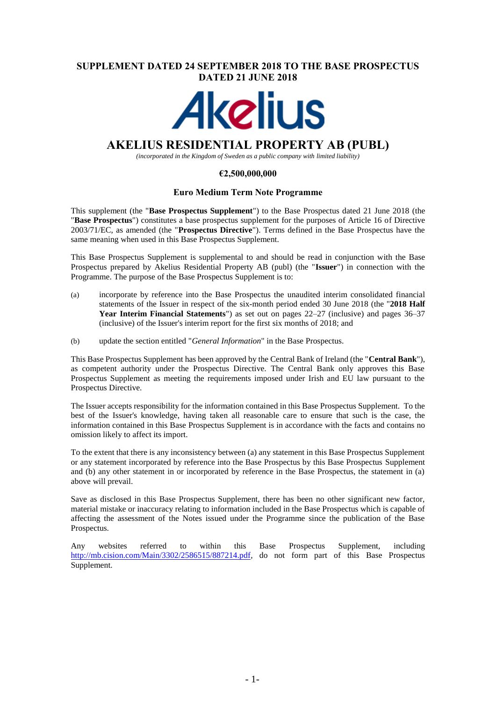## **SUPPLEMENT DATED 24 SEPTEMBER 2018 TO THE BASE PROSPECTUS DATED 21 JUNE 2018**



# **AKELIUS RESIDENTIAL PROPERTY AB (PUBL)**

*(incorporated in the Kingdom of Sweden as a public company with limited liability)*

## **€2,500,000,000**

## **Euro Medium Term Note Programme**

This supplement (the "**Base Prospectus Supplement**") to the Base Prospectus dated 21 June 2018 (the "**Base Prospectus**") constitutes a base prospectus supplement for the purposes of Article 16 of Directive 2003/71/EC, as amended (the "**Prospectus Directive**"). Terms defined in the Base Prospectus have the same meaning when used in this Base Prospectus Supplement.

This Base Prospectus Supplement is supplemental to and should be read in conjunction with the Base Prospectus prepared by Akelius Residential Property AB (publ) (the "**Issuer**") in connection with the Programme. The purpose of the Base Prospectus Supplement is to:

- (a) incorporate by reference into the Base Prospectus the unaudited interim consolidated financial statements of the Issuer in respect of the six-month period ended 30 June 2018 (the "**2018 Half Year Interim Financial Statements**") as set out on pages 22–27 (inclusive) and pages 36–37 (inclusive) of the Issuer's interim report for the first six months of 2018; and
- (b) update the section entitled "*General Information*" in the Base Prospectus.

This Base Prospectus Supplement has been approved by the Central Bank of Ireland (the "**Central Bank**"), as competent authority under the Prospectus Directive. The Central Bank only approves this Base Prospectus Supplement as meeting the requirements imposed under Irish and EU law pursuant to the Prospectus Directive.

The Issuer accepts responsibility for the information contained in this Base Prospectus Supplement. To the best of the Issuer's knowledge, having taken all reasonable care to ensure that such is the case, the information contained in this Base Prospectus Supplement is in accordance with the facts and contains no omission likely to affect its import.

To the extent that there is any inconsistency between (a) any statement in this Base Prospectus Supplement or any statement incorporated by reference into the Base Prospectus by this Base Prospectus Supplement and (b) any other statement in or incorporated by reference in the Base Prospectus, the statement in (a) above will prevail.

Save as disclosed in this Base Prospectus Supplement, there has been no other significant new factor, material mistake or inaccuracy relating to information included in the Base Prospectus which is capable of affecting the assessment of the Notes issued under the Programme since the publication of the Base Prospectus.

Any websites referred to within this Base Prospectus Supplement, including [http://mb.cision.com/Main/3302/2586515/887214.pdf,](http://mb.cision.com/Main/3302/2586515/887214.pdf) do not form part of this Base Prospectus Supplement.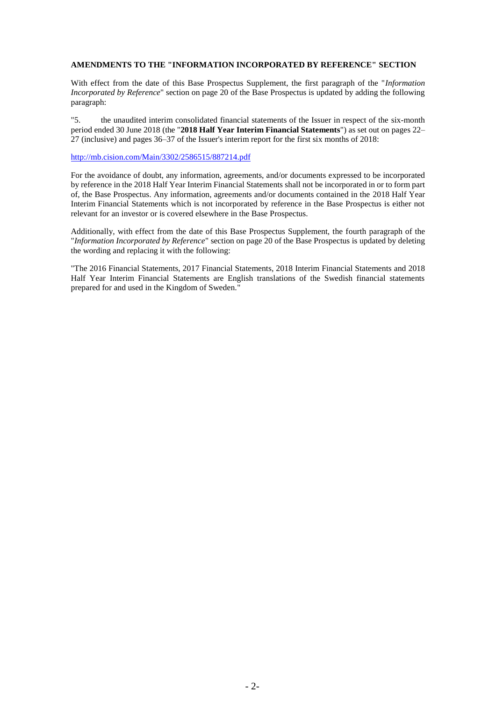### **AMENDMENTS TO THE "INFORMATION INCORPORATED BY REFERENCE" SECTION**

With effect from the date of this Base Prospectus Supplement, the first paragraph of the "*Information Incorporated by Reference*" section on page 20 of the Base Prospectus is updated by adding the following paragraph:

"5. the unaudited interim consolidated financial statements of the Issuer in respect of the six-month period ended 30 June 2018 (the "**2018 Half Year Interim Financial Statements**") as set out on pages 22– 27 (inclusive) and pages 36–37 of the Issuer's interim report for the first six months of 2018:

<http://mb.cision.com/Main/3302/2586515/887214.pdf>

For the avoidance of doubt, any information, agreements, and/or documents expressed to be incorporated by reference in the 2018 Half Year Interim Financial Statements shall not be incorporated in or to form part of, the Base Prospectus. Any information, agreements and/or documents contained in the 2018 Half Year Interim Financial Statements which is not incorporated by reference in the Base Prospectus is either not relevant for an investor or is covered elsewhere in the Base Prospectus.

Additionally, with effect from the date of this Base Prospectus Supplement, the fourth paragraph of the "*Information Incorporated by Reference*" section on page 20 of the Base Prospectus is updated by deleting the wording and replacing it with the following:

"The 2016 Financial Statements, 2017 Financial Statements, 2018 Interim Financial Statements and 2018 Half Year Interim Financial Statements are English translations of the Swedish financial statements prepared for and used in the Kingdom of Sweden."